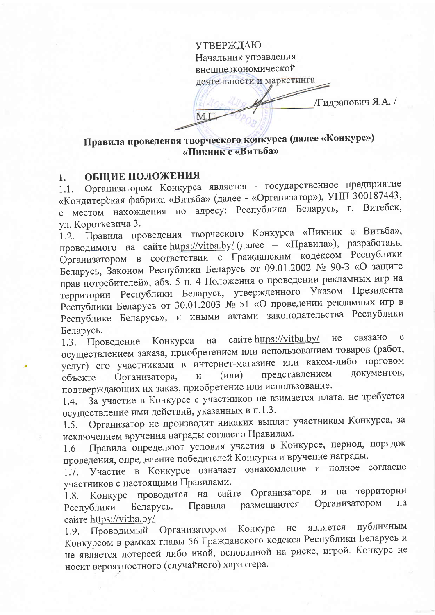**УТВЕРЖДАЮ** Начальник управления внешнеэкономической деятельности и маркетинга /Гидранович Я.А. /  $M.L$ 

# Правила проведения творческого конкурса (далее «Конкурс») «Пикник с «Витьба»

### ОБЩИЕ ПОЛОЖЕНИЯ 1.

Организатором Конкурса является - государственное предприятие  $1.1.$ «Кондитерская фабрика «Витьба» (далее - «Организатор»), УНП 300187443, с местом нахождения по адресу: Республика Беларусь, г. Витебск, ул. Короткевича 3.

1.2. Правила проведения творческого Конкурса «Пикник с Витьба», проводимого на сайте https://vitba.by/ (далее - «Правила»), разработаны Организатором в соответствии с Гражданским кодексом Республики Беларусь, Законом Республики Беларусь от 09.01.2002 № 90-3 «О защите прав потребителей», абз. 5 п. 4 Положения о проведении рекламных игр на территории Республики Беларусь, утвержденного Указом Президента Республики Беларусь от 30.01.2003 № 51 «О проведении рекламных игр в Республике Беларусь», и иными актами законодательства Республики Беларусь.

сайте https://vitba.by/ связано  $He$  $\mathbf C$ 1.3. Проведение Конкурса на осуществлением заказа, приобретением или использованием товаров (работ, услуг) его участниками в интернет-магазине или каком-либо торговом представлением документов,  $(MJ)$ Организатора, объекте подтверждающих их заказ, приобретение или использование.

За участие в Конкурсе с участников не взимается плата, не требуется  $1.4.$ осуществление ими действий, указанных в п.1.3.

1.5. Организатор не производит никаких выплат участникам Конкурса, за исключением вручения награды согласно Правилам.

Правила определяют условия участия в Конкурсе, период, порядок  $1.6.$ проведения, определение победителей Конкурса и вручение награды.

Участие в Конкурсе означает ознакомление и полное согласие  $1.7.$ участников с настоящими Правилами.

Конкурс проводится на сайте Организатора территории и на 1.8. размещаются Организатором на Беларусь. Правила Республики cance https://vitba.by/

Организатором Конкурс не является публичным 1.9. Проводимый Конкурсом в рамках главы 56 Гражданского кодекса Республики Беларусь и не является лотереей либо иной, основанной на риске, игрой. Конкурс не носит вероятностного (случайного) характера.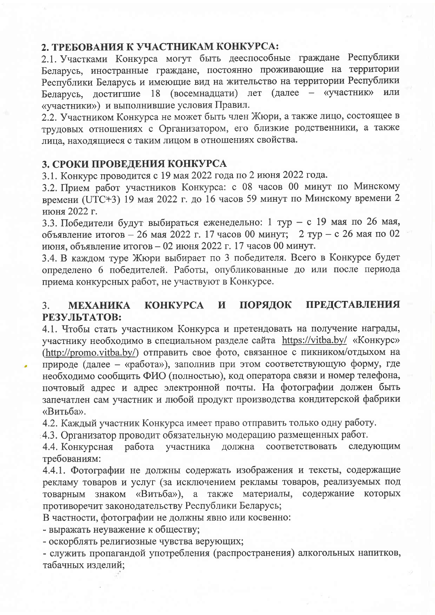# 2. ТРЕБОВАНИЯ К УЧАСТНИКАМ КОНКУРСА:

2.1. Участками Конкурса могут быть дееспособные граждане Республики Беларусь, иностранные граждане, постоянно проживающие на территории Республики Беларусь и имеющие вид на жительство на территории Республики Беларусь, достигшие 18 (восемнадцати) лет (далее - «участник» или «участники») и выполнившие условия Правил.

2.2. Участником Конкурса не может быть член Жюри, а также лицо, состоящее в трудовых отношениях с Организатором, его близкие родственники, а также лица, находящиеся с таким лицом в отношениях свойства.

## 3. СРОКИ ПРОВЕЛЕНИЯ КОНКУРСА

3.1. Конкурс проводится с 19 мая 2022 года по 2 июня 2022 года.

3.2. Прием работ участников Конкурса: с 08 часов 00 минут по Минскому времени (UTC+3) 19 мая 2022 г. до 16 часов 59 минут по Минскому времени 2 июня 2022 г.

3.3. Победители будут выбираться еженедельно: 1 тур - с 19 мая по 26 мая, объявление итогов - 26 мая 2022 г. 17 часов 00 минут; 2 тур - с 26 мая по 02 июня, объявление итогов - 02 июня 2022 г. 17 часов 00 минут.

3.4. В каждом туре Жюри выбирает по 3 победителя. Всего в Конкурсе будет определено 6 победителей. Работы, опубликованные до или после периода приема конкурсных работ, не участвуют в Конкурсе.

#### **ПРЕДСТАВЛЕНИЯ KOHKYPCA** И ПОРЯДОК  $3<sub>1</sub>$ **MEXAHIKA** РЕЗУЛЬТАТОВ:

4.1. Чтобы стать участником Конкурса и претендовать на получение награды, участнику необходимо в специальном разделе сайта https://vitba.by/ «Конкурс» (http://promo.vitba.by/) отправить свое фото, связанное с пикником/отдыхом на природе (далее - «работа»), заполнив при этом соответствующую форму, где необходимо сообщить ФИО (полностью), код оператора связи и номер телефона, почтовый адрес и адрес электронной почты. На фотографии должен быть запечатлен сам участник и любой продукт производства кондитерской фабрики «Витьба».

4.2. Каждый участник Конкурса имеет право отправить только одну работу.

4.3. Организатор проводит обязательную модерацию размещенных работ.

4.4. Конкурсная работа участника соответствовать должна следующим требованиям:

4.4.1. Фотографии не должны содержать изображения и тексты, содержащие рекламу товаров и услуг (за исключением рекламы товаров, реализуемых под знаком «Витьба»), а также материалы, содержание которых товарным противоречит законодательству Республики Беларусь;

В частности, фотографии не должны явно или косвенно:

- выражать неуважение к обществу;

- оскорблять религиозные чувства верующих;

- служить пропагандой употребления (распространения) алкогольных напитков, табачных изделий: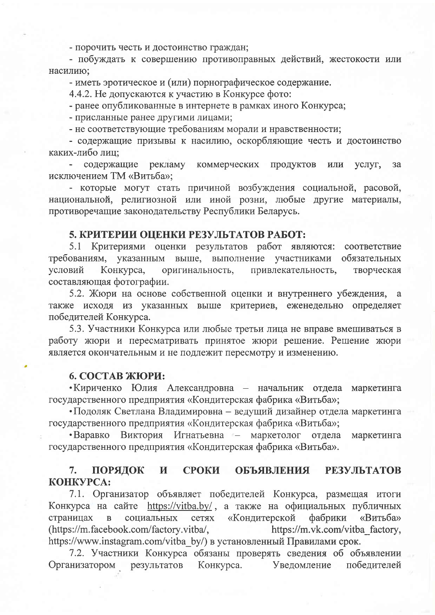- порочить честь и достоинство граждан;

- побуждать к совершению противоправных действий, жестокости или насилию:

- иметь эротическое и (или) порнографическое содержание.

4.4.2. Не допускаются к участию в Конкурсе фото:

- ранее опубликованные в интернете в рамках иного Конкурса;

- присланные ранее другими лицами;

- не соответствующие требованиям морали и нравственности;

- содержащие призывы к насилию, оскорбляющие честь и достоинство каких-либо лиц;

содержащие рекламу коммерческих продуктов или услуг. за исключением ТМ «Витьба»;

- которые могут стать причиной возбуждения социальной, расовой, национальной, религиозной или иной розни, любые другие материалы, противоречащие законодательству Республики Беларусь.

## 5. КРИТЕРИИ ОЦЕНКИ РЕЗУЛЬТАТОВ РАБОТ:

5.1 Критериями оценки результатов работ являются: соответствие требованиям, указанным выше, выполнение участниками обязательных условий Конкурса, оригинальность, привлекательность, творческая составляющая фотографии.

5.2. Жюри на основе собственной оценки и внутреннего убеждения, a также исходя из указанных выше критериев, еженедельно определяет победителей Конкурса.

5.3. Участники Конкурса или любые третьи лица не вправе вмешиваться в работу жюри и пересматривать принятое жюри решение. Решение жюри является окончательным и не подлежит пересмотру и изменению.

## 6. СОСТАВ ЖЮРИ:

• Кириченко Юлия Александровна – начальник отдела маркетинга государственного предприятия «Кондитерская фабрика «Витьба»;

• Подоляк Светлана Владимировна – ведущий дизайнер отдела маркетинга государственного предприятия «Кондитерская фабрика «Витьба»;

•Варавко Виктория Игнатьевна - маркетолог отдела маркетинга государственного предприятия «Кондитерская фабрика «Витьба».

#### ПОРЯДОК **ОБЪЯВЛЕНИЯ РЕЗУЛЬТАТОВ**  $7.$ И **СРОКИ** КОНКУРСА:

7.1. Организатор объявляет победителей Конкурса, размещая итоги Конкурса на сайте https://vitba.by/, а также на официальных публичных страницах в социальных сетях «Кондитерской фабрики «Витьба» (https://m.facebook.com/factory.vitba/, https://m.vk.com/vitba factory, https://www.instagram.com/vitba by/) в установленный Правилами срок.

7.2. Участники Конкурса обязаны проверять сведения об объявлении Организатором результатов Конкурса. Уведомление победителей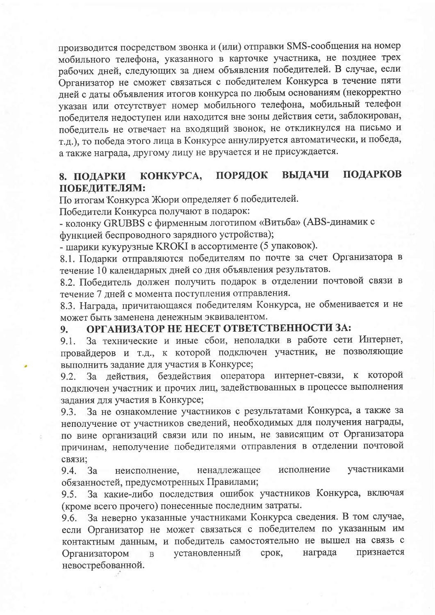производится посредством звонка и (или) отправки SMS-сообщения на номер мобильного телефона, указанного в карточке участника, не позднее трех рабочих дней, следующих за днем объявления победителей. В случае, если Организатор не сможет связаться с победителем Конкурса в течение пяти дней с даты объявления итогов конкурса по любым основаниям (некорректно указан или отсутствует номер мобильного телефона, мобильный телефон победителя недоступен или находится вне зоны действия сети, заблокирован, победитель не отвечает на входящий звонок, не откликнулся на письмо и т.д.), то победа этого лица в Конкурсе аннулируется автоматически, и победа, а также награда, другому лицу не вручается и не присуждается.

#### ПОДАРКОВ ПОРЯДОК **ВЫДАЧИ** KOHKYPCA, 8. ПОДАРКИ ПОБЕЛИТЕЛЯМ:

По итогам Конкурса Жюри определяет 6 победителей.

Победители Конкурса получают в подарок:

- колонку GRUBBS с фирменным логотипом «Витьба» (ABS-динамик с функцией беспроводного зарядного устройства);

- шарики кукурузные KROKI в ассортименте (5 упаковок).

8.1. Подарки отправляются победителям по почте за счет Организатора в течение 10 календарных дней со дня объявления результатов.

8.2. Победитель должен получить подарок в отделении почтовой связи в течение 7 дней с момента поступления отправления.

8.3. Награда, причитающаяся победителям Конкурса, не обменивается и не может быть заменена денежным эквивалентом.

### ОРГАНИЗАТОР НЕ НЕСЕТ ОТВЕТСТВЕННОСТИ ЗА: 9.

За технические и иные сбои, неполадки в работе сети Интернет,  $9.1.$ провайдеров и т.д., к которой подключен участник, не позволяющие выполнить задание для участия в Конкурсе:

За действия, бездействия оператора интернет-связи, к которой 9.2. подключен участник и прочих лиц, задействованных в процессе выполнения задания для участия в Конкурсе;

За не ознакомление участников с результатами Конкурса, а также за 9.3. неполучение от участников сведений, необходимых для получения награды, по вине организаций связи или по иным, не зависящим от Организатора причинам, неполучение победителями отправления в отделении почтовой связи;

исполнение ненадлежащее участниками 3a неисполнение, 9.4. обязанностей, предусмотренных Правилами;

За какие-либо последствия ошибок участников Конкурса, включая  $9.5.$ (кроме всего прочего) понесенные последним затраты.

За неверно указанные участниками Конкурса сведения. В том случае, 9.6. если Организатор не может связаться с победителем по указанным им контактным данным, и победитель самостоятельно не вышел на связь с признается Организатором установленный срок, награда  $\, {\bf B}$ невостребованной.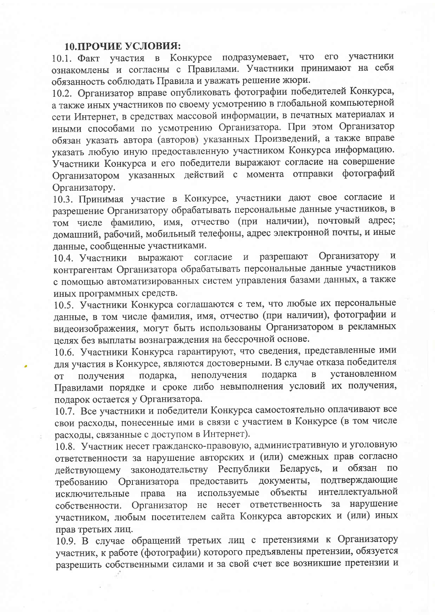## 10. ПРОЧИЕ УСЛОВИЯ:

10.1. Факт участия в Конкурсе подразумевает, его участники **ЧТО** ознакомлены и согласны с Правилами. Участники принимают на себя обязанность соблюдать Правила и уважать решение жюри.

10.2. Организатор вправе опубликовать фотографии победителей Конкурса, а также иных участников по своему усмотрению в глобальной компьютерной сети Интернет, в средствах массовой информации, в печатных материалах и иными способами по усмотрению Организатора. При этом Организатор обязан указать автора (авторов) указанных Произведений, а также вправе указать любую иную предоставленную участником Конкурса информацию. Участники Конкурса и его победители выражают согласие на совершение Организатором указанных действий с момента отправки фотографий Организатору.

10.3. Принимая участие в Конкурсе, участники дают свое согласие и разрешение Организатору обрабатывать персональные данные участников, в том числе фамилию, имя, отчество (при наличии), почтовый адрес; домашний, рабочий, мобильный телефоны, адрес электронной почты, и иные ланные, сообщенные участниками.

и разрешают Организатору  $\mathbf{H}$ 10.4. Участники выражают согласие контрагентам Организатора обрабатывать персональные данные участников с помощью автоматизированных систем управления базами данных, а также иных программных средств.

10.5. Участники Конкурса соглашаются с тем, что любые их персональные данные, в том числе фамилия, имя, отчество (при наличии), фотографии и видеоизображения, могут быть использованы Организатором в рекламных целях без выплаты вознаграждения на бессрочной основе.

10.6. Участники Конкурса гарантируют, что сведения, представленные ими для участия в Конкурсе, являются достоверными. В случае отказа победителя установленном подарка неполучения  $\overline{B}$ получения подарка, **OT** Правилами порядке и сроке либо невыполнения условий их получения, поларок остается у Организатора.

10.7. Все участники и победители Конкурса самостоятельно оплачивают все свои расходы, понесенные ими в связи с участием в Конкурсе (в том числе расходы, связанные с доступом в Интернет).

10.8. Участник несет гражданско-правовую, административную и уголовную ответственности за нарушение авторских и (или) смежных прав согласно действующему законодательству Республики Беларусь, и обязан по требованию Организатора предоставить документы, подтверждающие интеллектуальной используемые объекты исключительные права на собственности. Организатор не несет ответственность за нарушение участником, любым посетителем сайта Конкурса авторских и (или) иных прав третьих лиц.

10.9. В случае обращений третьих лиц с претензиями к Организатору участник, к работе (фотографии) которого предъявлены претензии, обязуется разрешить собственными силами и за свой счет все возникшие претензии и